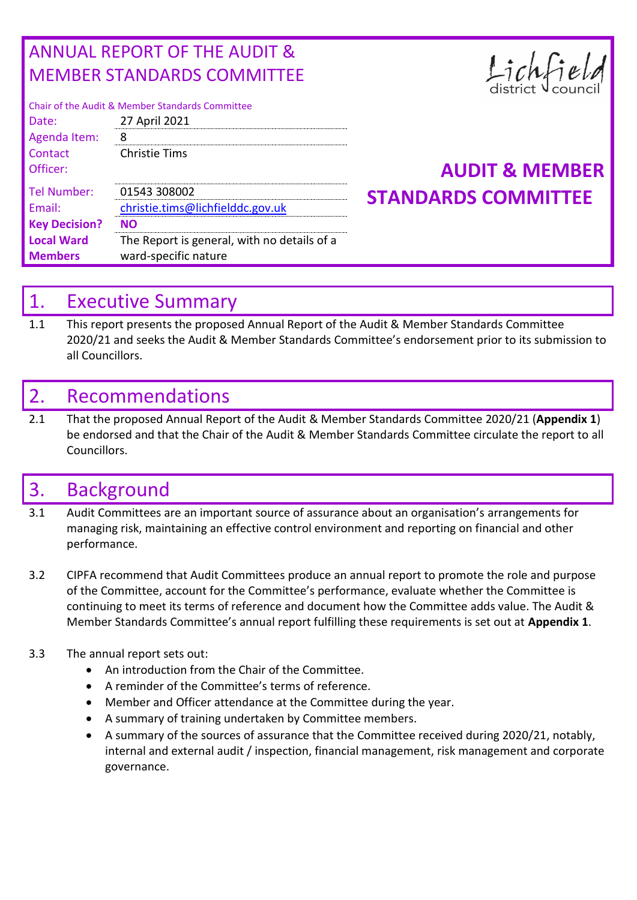## ANNUAL REPORT OF THE AUDIT & MEMBER STANDARDS COMMITTEE

| Chair of the Audit & Member Standards Committee |  |  |  |  |  |  |
|-------------------------------------------------|--|--|--|--|--|--|
| 27 April 2021                                   |  |  |  |  |  |  |
|                                                 |  |  |  |  |  |  |
| <b>Christie Tims</b>                            |  |  |  |  |  |  |
|                                                 |  |  |  |  |  |  |
| 01543 308002                                    |  |  |  |  |  |  |
| christie.tims@lichfielddc.gov.uk                |  |  |  |  |  |  |
| NΩ                                              |  |  |  |  |  |  |
| The Report is general, with no details of a     |  |  |  |  |  |  |
| ward-specific nature                            |  |  |  |  |  |  |
|                                                 |  |  |  |  |  |  |

# Lichfie

## **AUDIT & MEMBER STANDARDS COMMITTEE**

## 1. Executive Summary

1.1 This report presents the proposed Annual Report of the Audit & Member Standards Committee 2020/21 and seeks the Audit & Member Standards Committee's endorsement prior to its submission to all Councillors.

## 2. Recommendations

2.1 That the proposed Annual Report of the Audit & Member Standards Committee 2020/21 (**Appendix 1**) be endorsed and that the Chair of the Audit & Member Standards Committee circulate the report to all Councillors.

## 3. Background

- 3.1 Audit Committees are an important source of assurance about an organisation's arrangements for managing risk, maintaining an effective control environment and reporting on financial and other performance.
- 3.2 CIPFA recommend that Audit Committees produce an annual report to promote the role and purpose of the Committee, account for the Committee's performance, evaluate whether the Committee is continuing to meet its terms of reference and document how the Committee adds value. The Audit & Member Standards Committee's annual report fulfilling these requirements is set out at **Appendix 1**.

#### 3.3 The annual report sets out:

- An introduction from the Chair of the Committee.
- A reminder of the Committee's terms of reference.
- Member and Officer attendance at the Committee during the year.
- A summary of training undertaken by Committee members.
- A summary of the sources of assurance that the Committee received during 2020/21, notably, internal and external audit / inspection, financial management, risk management and corporate governance.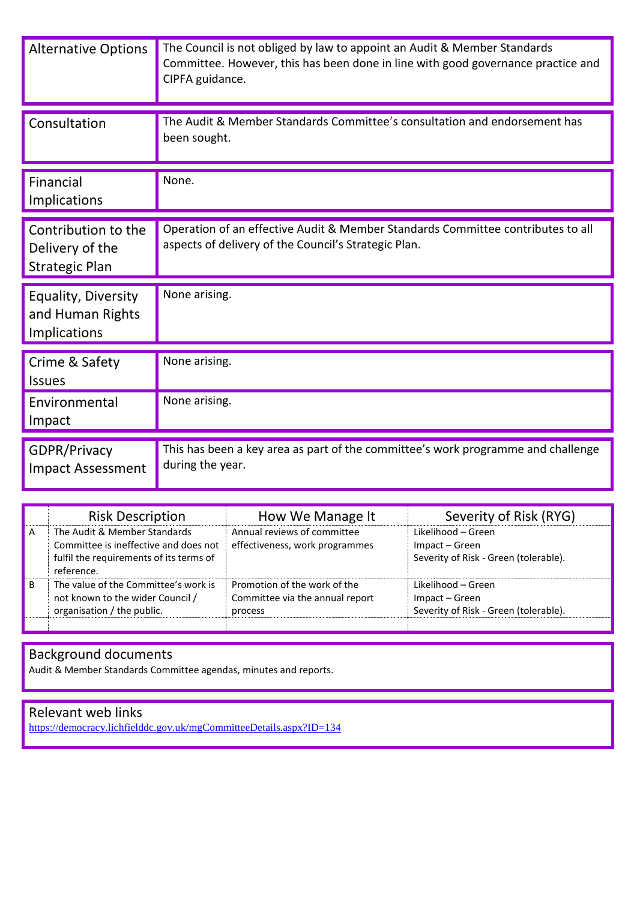| <b>Alternative Options</b>                                      | The Council is not obliged by law to appoint an Audit & Member Standards<br>Committee. However, this has been done in line with good governance practice and<br>CIPFA guidance. |
|-----------------------------------------------------------------|---------------------------------------------------------------------------------------------------------------------------------------------------------------------------------|
| Consultation                                                    | The Audit & Member Standards Committee's consultation and endorsement has<br>been sought.                                                                                       |
| Financial<br>Implications                                       | None.                                                                                                                                                                           |
| Contribution to the<br>Delivery of the<br><b>Strategic Plan</b> | Operation of an effective Audit & Member Standards Committee contributes to all<br>aspects of delivery of the Council's Strategic Plan.                                         |
| Equality, Diversity<br>and Human Rights<br>Implications         | None arising.                                                                                                                                                                   |
| Crime & Safety<br><b>Issues</b>                                 | None arising.                                                                                                                                                                   |
| Environmental<br>Impact                                         | None arising.                                                                                                                                                                   |
| GDPR/Privacy<br><b>Impact Assessment</b>                        | This has been a key area as part of the committee's work programme and challenge<br>during the year.                                                                            |

|   | <b>Risk Description</b>                                                                                                        | How We Manage It                                                           | Severity of Risk (RYG)                                                        |
|---|--------------------------------------------------------------------------------------------------------------------------------|----------------------------------------------------------------------------|-------------------------------------------------------------------------------|
| A | The Audit & Member Standards<br>Committee is ineffective and does not<br>fulfil the requirements of its terms of<br>reference. | Annual reviews of committee<br>effectiveness, work programmes              | Likelihood - Green<br>Impact - Green<br>Severity of Risk - Green (tolerable). |
| B | The value of the Committee's work is<br>not known to the wider Council /<br>organisation / the public.                         | Promotion of the work of the<br>Committee via the annual report<br>process | Likelihood – Green<br>Impact - Green<br>Severity of Risk - Green (tolerable). |
|   |                                                                                                                                |                                                                            |                                                                               |

#### Background documents

Audit & Member Standards Committee agendas, minutes and reports.

## Relevant web links

<https://democracy.lichfielddc.gov.uk/mgCommitteeDetails.aspx?ID=134>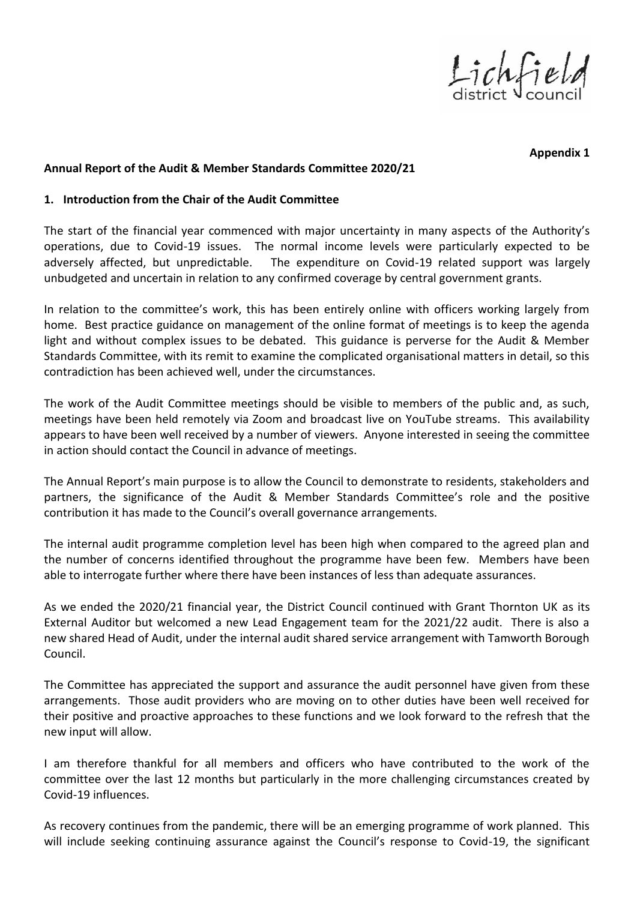Lichfield

**Appendix 1** 

#### **Annual Report of the Audit & Member Standards Committee 2020/21**

#### **1. Introduction from the Chair of the Audit Committee**

The start of the financial year commenced with major uncertainty in many aspects of the Authority's operations, due to Covid-19 issues. The normal income levels were particularly expected to be adversely affected, but unpredictable. The expenditure on Covid-19 related support was largely unbudgeted and uncertain in relation to any confirmed coverage by central government grants.

In relation to the committee's work, this has been entirely online with officers working largely from home. Best practice guidance on management of the online format of meetings is to keep the agenda light and without complex issues to be debated. This guidance is perverse for the Audit & Member Standards Committee, with its remit to examine the complicated organisational matters in detail, so this contradiction has been achieved well, under the circumstances.

The work of the Audit Committee meetings should be visible to members of the public and, as such, meetings have been held remotely via Zoom and broadcast live on YouTube streams. This availability appears to have been well received by a number of viewers. Anyone interested in seeing the committee in action should contact the Council in advance of meetings.

The Annual Report's main purpose is to allow the Council to demonstrate to residents, stakeholders and partners, the significance of the Audit & Member Standards Committee's role and the positive contribution it has made to the Council's overall governance arrangements.

The internal audit programme completion level has been high when compared to the agreed plan and the number of concerns identified throughout the programme have been few. Members have been able to interrogate further where there have been instances of less than adequate assurances.

As we ended the 2020/21 financial year, the District Council continued with Grant Thornton UK as its External Auditor but welcomed a new Lead Engagement team for the 2021/22 audit. There is also a new shared Head of Audit, under the internal audit shared service arrangement with Tamworth Borough Council.

The Committee has appreciated the support and assurance the audit personnel have given from these arrangements. Those audit providers who are moving on to other duties have been well received for their positive and proactive approaches to these functions and we look forward to the refresh that the new input will allow.

I am therefore thankful for all members and officers who have contributed to the work of the committee over the last 12 months but particularly in the more challenging circumstances created by Covid-19 influences.

As recovery continues from the pandemic, there will be an emerging programme of work planned. This will include seeking continuing assurance against the Council's response to Covid-19, the significant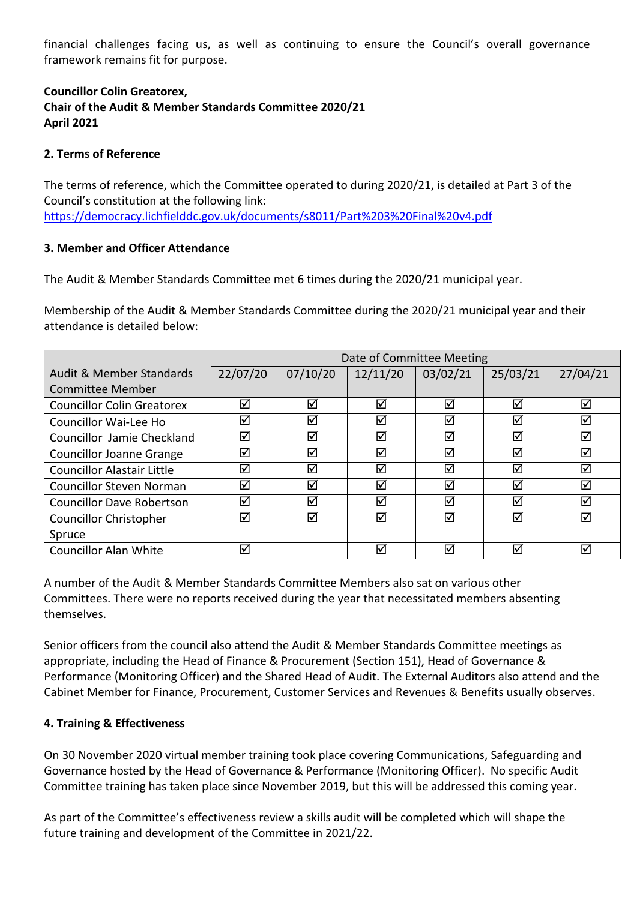financial challenges facing us, as well as continuing to ensure the Council's overall governance framework remains fit for purpose.

#### **Councillor Colin Greatorex, Chair of the Audit & Member Standards Committee 2020/21 April 2021**

#### **2. Terms of Reference**

The terms of reference, which the Committee operated to during 2020/21, is detailed at Part 3 of the Council's constitution at the following link: <https://democracy.lichfielddc.gov.uk/documents/s8011/Part%203%20Final%20v4.pdf>

#### **3. Member and Officer Attendance**

The Audit & Member Standards Committee met 6 times during the 2020/21 municipal year.

Membership of the Audit & Member Standards Committee during the 2020/21 municipal year and their attendance is detailed below:

|                                   | Date of Committee Meeting |          |          |                      |                      |          |
|-----------------------------------|---------------------------|----------|----------|----------------------|----------------------|----------|
| Audit & Member Standards          | 22/07/20                  | 07/10/20 | 12/11/20 | 03/02/21             | 25/03/21             | 27/04/21 |
| Committee Member                  |                           |          |          |                      |                      |          |
| <b>Councillor Colin Greatorex</b> | ☑                         | ☑        | ☑        | $\blacktriangledown$ | ☑                    | ☑        |
| Councillor Wai-Lee Ho             | ☑                         | ☑        | ☑        | $\blacktriangledown$ | ☑                    | ☑        |
| Councillor Jamie Checkland        | ☑                         | ☑        | ☑        | $\blacktriangledown$ | ☑                    | ☑        |
| <b>Councillor Joanne Grange</b>   | ☑                         | ☑        | ☑        | ☑                    | ☑                    | ☑        |
| <b>Councillor Alastair Little</b> | ☑                         | ☑        | ☑        | ☑                    | ☑                    | ☑        |
| Councillor Steven Norman          | ☑                         | ☑        | ☑        | ☑                    | ☑                    | ☑        |
| <b>Councillor Dave Robertson</b>  | ☑                         | ☑        | ☑        | ☑                    | ☑                    | ☑        |
| <b>Councillor Christopher</b>     | ☑                         | ☑        | ☑        | ☑                    | ☑                    | ☑        |
| Spruce                            |                           |          |          |                      |                      |          |
| <b>Councillor Alan White</b>      | ☑                         |          | ☑        | ⊽                    | $\blacktriangledown$ | ☑        |

A number of the Audit & Member Standards Committee Members also sat on various other Committees. There were no reports received during the year that necessitated members absenting themselves.

Senior officers from the council also attend the Audit & Member Standards Committee meetings as appropriate, including the Head of Finance & Procurement (Section 151), Head of Governance & Performance (Monitoring Officer) and the Shared Head of Audit. The External Auditors also attend and the Cabinet Member for Finance, Procurement, Customer Services and Revenues & Benefits usually observes.

#### **4. Training & Effectiveness**

On 30 November 2020 virtual member training took place covering Communications, Safeguarding and Governance hosted by the Head of Governance & Performance (Monitoring Officer). No specific Audit Committee training has taken place since November 2019, but this will be addressed this coming year.

As part of the Committee's effectiveness review a skills audit will be completed which will shape the future training and development of the Committee in 2021/22.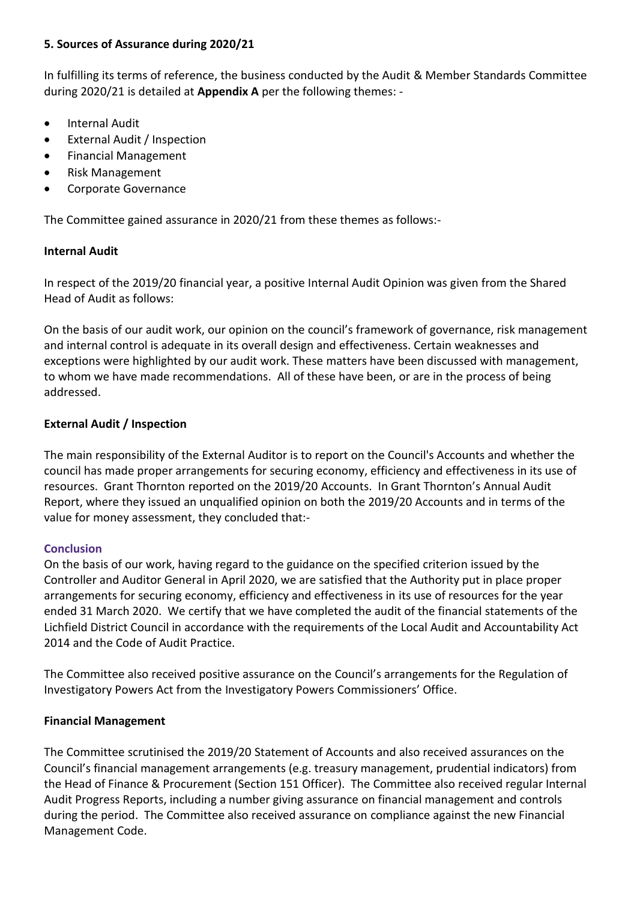#### **5. Sources of Assurance during 2020/21**

In fulfilling its terms of reference, the business conducted by the Audit & Member Standards Committee during 2020/21 is detailed at **Appendix A** per the following themes: -

- **•** Internal Audit
- External Audit / Inspection
- Financial Management
- Risk Management
- Corporate Governance

The Committee gained assurance in 2020/21 from these themes as follows:-

#### **Internal Audit**

In respect of the 2019/20 financial year, a positive Internal Audit Opinion was given from the Shared Head of Audit as follows:

On the basis of our audit work, our opinion on the council's framework of governance, risk management and internal control is adequate in its overall design and effectiveness. Certain weaknesses and exceptions were highlighted by our audit work. These matters have been discussed with management, to whom we have made recommendations. All of these have been, or are in the process of being addressed.

#### **External Audit / Inspection**

The main responsibility of the External Auditor is to report on the Council's Accounts and whether the council has made proper arrangements for securing economy, efficiency and effectiveness in its use of resources. Grant Thornton reported on the 2019/20 Accounts. In Grant Thornton's Annual Audit Report, where they issued an unqualified opinion on both the 2019/20 Accounts and in terms of the value for money assessment, they concluded that:-

#### **Conclusion**

On the basis of our work, having regard to the guidance on the specified criterion issued by the Controller and Auditor General in April 2020, we are satisfied that the Authority put in place proper arrangements for securing economy, efficiency and effectiveness in its use of resources for the year ended 31 March 2020. We certify that we have completed the audit of the financial statements of the Lichfield District Council in accordance with the requirements of the Local Audit and Accountability Act 2014 and the Code of Audit Practice.

The Committee also received positive assurance on the Council's arrangements for the Regulation of Investigatory Powers Act from the Investigatory Powers Commissioners' Office.

#### **Financial Management**

The Committee scrutinised the 2019/20 Statement of Accounts and also received assurances on the Council's financial management arrangements (e.g. treasury management, prudential indicators) from the Head of Finance & Procurement (Section 151 Officer). The Committee also received regular Internal Audit Progress Reports, including a number giving assurance on financial management and controls during the period. The Committee also received assurance on compliance against the new Financial Management Code.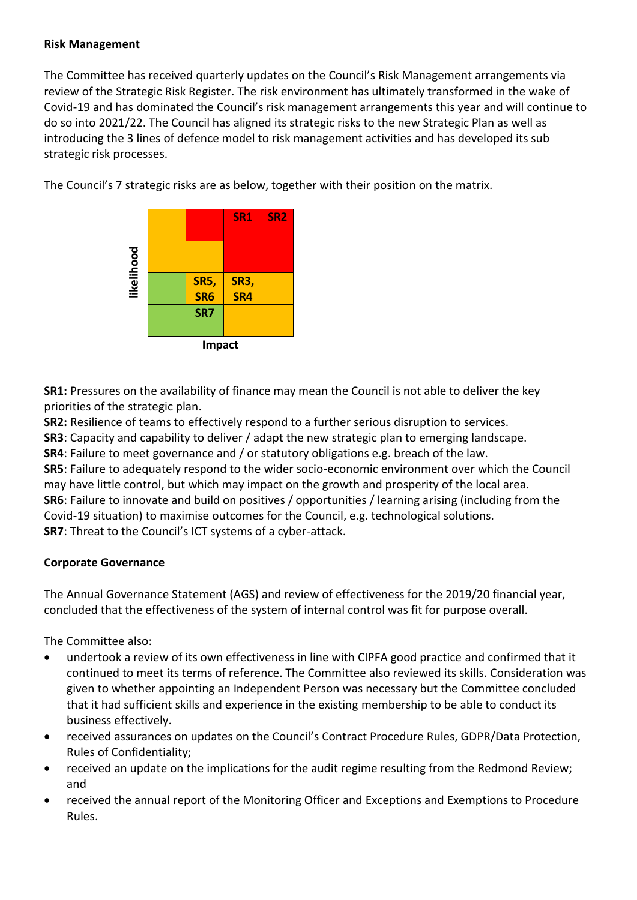#### **Risk Management**

The Committee has received quarterly updates on the Council's Risk Management arrangements via review of the Strategic Risk Register. The risk environment has ultimately transformed in the wake of Covid-19 and has dominated the Council's risk management arrangements this year and will continue to do so into 2021/22. The Council has aligned its strategic risks to the new Strategic Plan as well as introducing the 3 lines of defence model to risk management activities and has developed its sub strategic risk processes.





**SR1:** Pressures on the availability of finance may mean the Council is not able to deliver the key priorities of the strategic plan.

**SR2:** Resilience of teams to effectively respond to a further serious disruption to services.

**SR3**: Capacity and capability to deliver / adapt the new strategic plan to emerging landscape.

**SR4**: Failure to meet governance and / or statutory obligations e.g. breach of the law.

**SR5**: Failure to adequately respond to the wider socio-economic environment over which the Council may have little control, but which may impact on the growth and prosperity of the local area. **SR6**: Failure to innovate and build on positives / opportunities / learning arising (including from the Covid-19 situation) to maximise outcomes for the Council, e.g. technological solutions. **SR7**: Threat to the Council's ICT systems of a cyber-attack.

#### **Corporate Governance**

The Annual Governance Statement (AGS) and review of effectiveness for the 2019/20 financial year, concluded that the effectiveness of the system of internal control was fit for purpose overall.

The Committee also:

- undertook a review of its own effectiveness in line with CIPFA good practice and confirmed that it continued to meet its terms of reference. The Committee also reviewed its skills. Consideration was given to whether appointing an Independent Person was necessary but the Committee concluded that it had sufficient skills and experience in the existing membership to be able to conduct its business effectively.
- received assurances on updates on the Council's Contract Procedure Rules, GDPR/Data Protection, Rules of Confidentiality;
- received an update on the implications for the audit regime resulting from the Redmond Review; and
- received the annual report of the Monitoring Officer and Exceptions and Exemptions to Procedure Rules.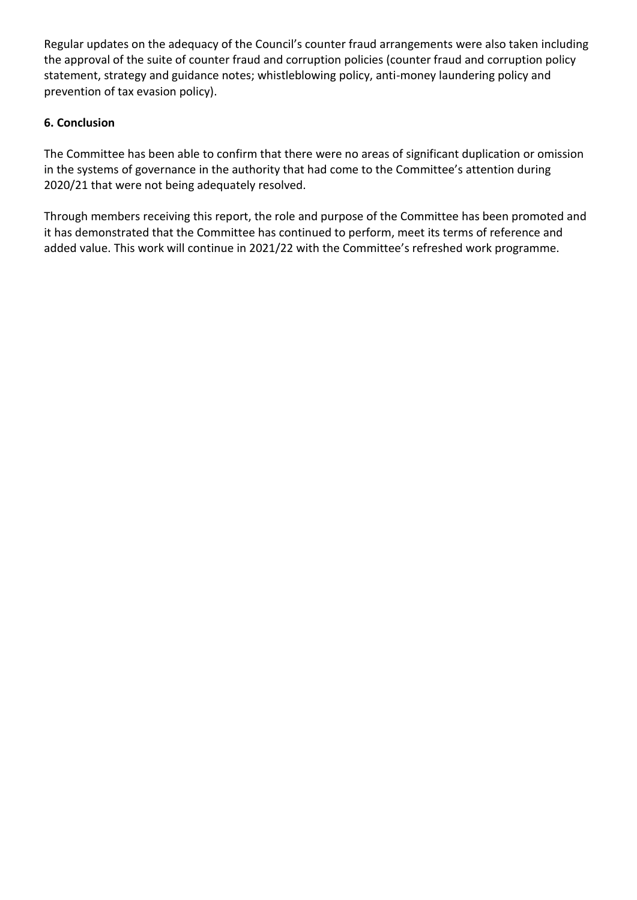Regular updates on the adequacy of the Council's counter fraud arrangements were also taken including the approval of the suite of counter fraud and corruption policies (counter fraud and corruption policy statement, strategy and guidance notes; whistleblowing policy, anti-money laundering policy and prevention of tax evasion policy).

#### **6. Conclusion**

The Committee has been able to confirm that there were no areas of significant duplication or omission in the systems of governance in the authority that had come to the Committee's attention during 2020/21 that were not being adequately resolved.

Through members receiving this report, the role and purpose of the Committee has been promoted and it has demonstrated that the Committee has continued to perform, meet its terms of reference and added value. This work will continue in 2021/22 with the Committee's refreshed work programme.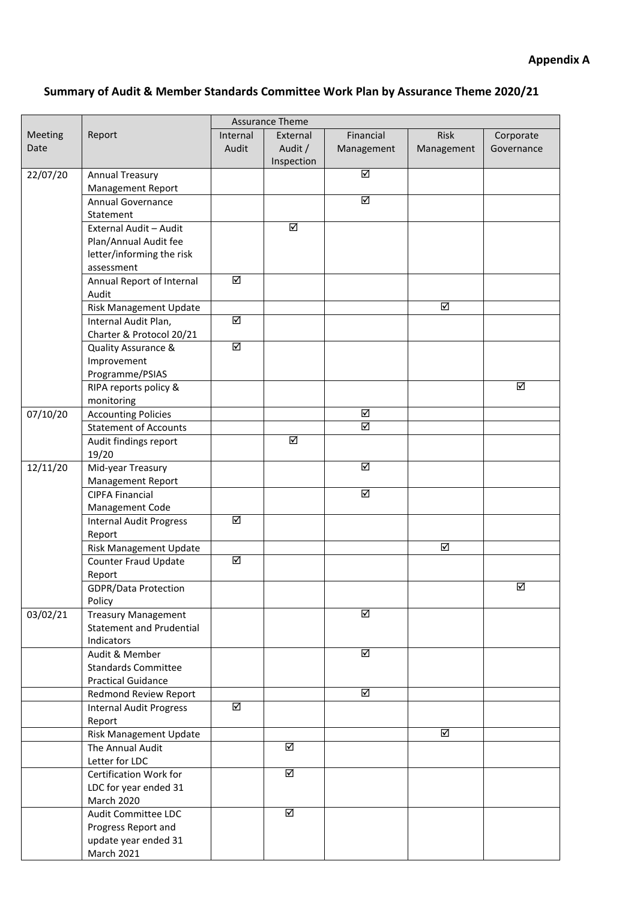## **Summary of Audit & Member Standards Committee Work Plan by Assurance Theme 2020/21**

|                |                                 | <b>Assurance Theme</b>  |                         |                         |            |            |
|----------------|---------------------------------|-------------------------|-------------------------|-------------------------|------------|------------|
| <b>Meeting</b> | Report                          | Internal                | External                | Financial               | Risk       | Corporate  |
| Date           |                                 | Audit                   | Audit /                 | Management              | Management | Governance |
|                |                                 |                         | Inspection              |                         |            |            |
| 22/07/20       | <b>Annual Treasury</b>          |                         |                         | ☑                       |            |            |
|                | Management Report               |                         |                         |                         |            |            |
|                | Annual Governance               |                         |                         | ☑                       |            |            |
|                | Statement                       |                         |                         |                         |            |            |
|                | External Audit - Audit          |                         | ☑                       |                         |            |            |
|                | Plan/Annual Audit fee           |                         |                         |                         |            |            |
|                | letter/informing the risk       |                         |                         |                         |            |            |
|                | assessment                      |                         |                         |                         |            |            |
|                | Annual Report of Internal       | $\overline{\mathsf{M}}$ |                         |                         |            |            |
|                | Audit                           |                         |                         |                         |            |            |
|                | Risk Management Update          |                         |                         |                         | ☑          |            |
|                | Internal Audit Plan,            | ☑                       |                         |                         |            |            |
|                | Charter & Protocol 20/21        |                         |                         |                         |            |            |
|                | Quality Assurance &             | ☑                       |                         |                         |            |            |
|                | Improvement                     |                         |                         |                         |            |            |
|                | Programme/PSIAS                 |                         |                         |                         |            |            |
|                | RIPA reports policy &           |                         |                         |                         |            | ☑          |
|                | monitoring                      |                         |                         |                         |            |            |
| 07/10/20       | <b>Accounting Policies</b>      |                         |                         | ☑                       |            |            |
|                | <b>Statement of Accounts</b>    |                         |                         | ☑                       |            |            |
|                | Audit findings report           |                         | ☑                       |                         |            |            |
|                | 19/20                           |                         |                         |                         |            |            |
| 12/11/20       | Mid-year Treasury               |                         |                         | ☑                       |            |            |
|                | Management Report               |                         |                         |                         |            |            |
|                | <b>CIPFA Financial</b>          |                         |                         | ☑                       |            |            |
|                | Management Code                 |                         |                         |                         |            |            |
|                | <b>Internal Audit Progress</b>  | ☑                       |                         |                         |            |            |
|                | Report                          |                         |                         |                         |            |            |
|                | Risk Management Update          |                         |                         |                         | ☑          |            |
|                | <b>Counter Fraud Update</b>     | ☑                       |                         |                         |            |            |
|                | Report                          |                         |                         |                         |            |            |
|                | <b>GDPR/Data Protection</b>     |                         |                         |                         |            | ☑          |
|                | Policy                          |                         |                         |                         |            |            |
| 03/02/21       | <b>Treasury Management</b>      |                         |                         | ☑                       |            |            |
|                | <b>Statement and Prudential</b> |                         |                         |                         |            |            |
|                | Indicators                      |                         |                         |                         |            |            |
|                | Audit & Member                  |                         |                         | $\overline{\mathbf{S}}$ |            |            |
|                | <b>Standards Committee</b>      |                         |                         |                         |            |            |
|                | <b>Practical Guidance</b>       |                         |                         |                         |            |            |
|                | Redmond Review Report           |                         |                         | ☑                       |            |            |
|                | <b>Internal Audit Progress</b>  | ☑                       |                         |                         |            |            |
|                | Report                          |                         |                         |                         |            |            |
|                | Risk Management Update          |                         |                         |                         | ☑          |            |
|                | The Annual Audit                |                         | ☑                       |                         |            |            |
|                | Letter for LDC                  |                         |                         |                         |            |            |
|                | Certification Work for          |                         | $\overline{\mathbf{N}}$ |                         |            |            |
|                | LDC for year ended 31           |                         |                         |                         |            |            |
|                | March 2020                      |                         |                         |                         |            |            |
|                | Audit Committee LDC             |                         | ☑                       |                         |            |            |
|                | Progress Report and             |                         |                         |                         |            |            |
|                | update year ended 31            |                         |                         |                         |            |            |
|                | <b>March 2021</b>               |                         |                         |                         |            |            |